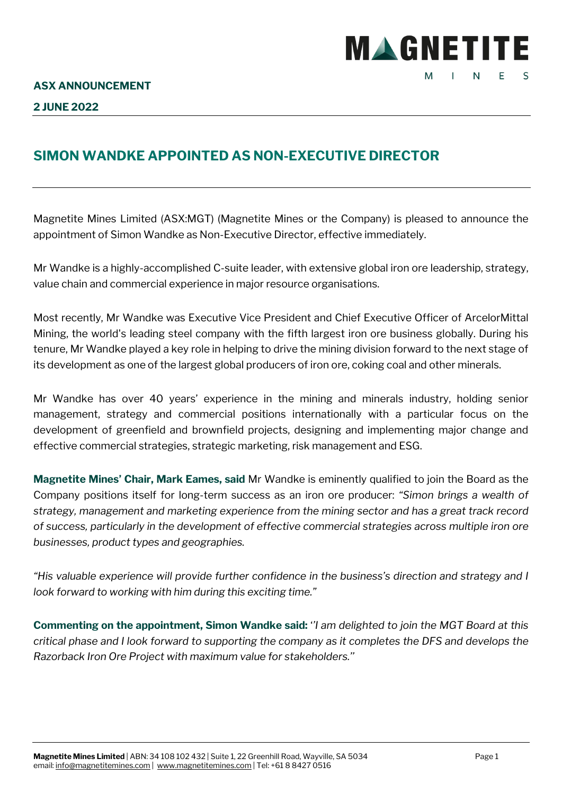

## **SIMON WANDKE APPOINTED AS NON-EXECUTIVE DIRECTOR**

Magnetite Mines Limited (ASX:MGT) (Magnetite Mines or the Company) is pleased to announce the appointment of Simon Wandke as Non-Executive Director, effective immediately.

Mr Wandke is a highly-accomplished C-suite leader, with extensive global iron ore leadership, strategy, value chain and commercial experience in major resource organisations.

Most recently, Mr Wandke was Executive Vice President and Chief Executive Officer of ArcelorMittal Mining, the world's leading steel company with the fifth largest iron ore business globally. During his tenure, Mr Wandke played a key role in helping to drive the mining division forward to the next stage of its development as one of the largest global producers of iron ore, coking coal and other minerals.

Mr Wandke has over 40 years' experience in the mining and minerals industry, holding senior management, strategy and commercial positions internationally with a particular focus on the development of greenfield and brownfield projects, designing and implementing major change and effective commercial strategies, strategic marketing, risk management and ESG.

**Magnetite Mines' Chair, Mark Eames, said** Mr Wandke is eminently qualified to join the Board as the Company positions itself for long-term success as an iron ore producer: *"Simon brings a wealth of strategy, management and marketing experience from the mining sector and has a great track record of success, particularly in the development of effective commercial strategies across multiple iron ore businesses, product types and geographies.*

*"His valuable experience will provide further confidence in the business's direction and strategy and I look forward to working with him during this exciting time."*

**Commenting on the appointment, Simon Wandke said:** '*'I am delighted to join the MGT Board at this critical phase and I look forward to supporting the company as it completes the DFS and develops the Razorback Iron Ore Project with maximum value for stakeholders.''*